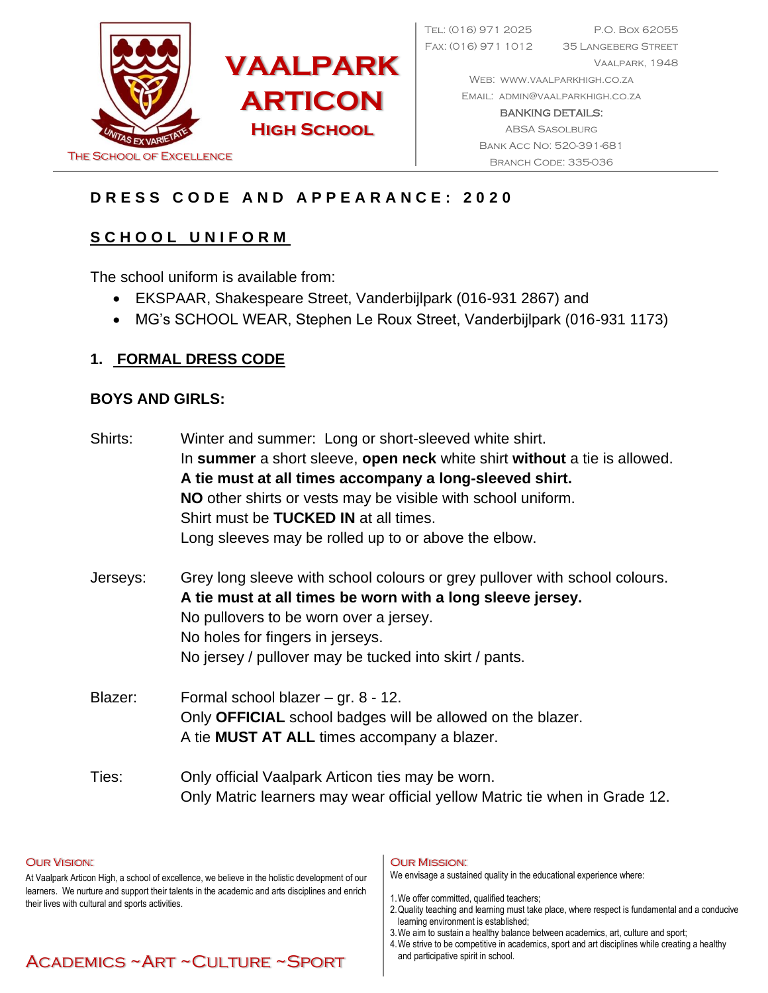

Tel: (016) 971 2025 P.O. Box 62055 Fax: (016) 971 1012 35 Langeberg Street Vaalpark, 1948 Web: [www.vaalparkhigh.co.za](http://www.vaalparkhigh.co.za/) Email: [admin@vaalparkhigh.co.za](mailto:admin@vaalparkhigh.co.za) BANKING DETAILS: ABSA Sasolburg Bank Acc No: 520-391-681

# **D R E S S C O D E A N D A P P E A R A N C E : 2 0 2 0**

# **S C H O O L U N I F O R M**

The school uniform is available from:

- EKSPAAR, Shakespeare Street, Vanderbijlpark (016-931 2867) and
- MG's SCHOOL WEAR, Stephen Le Roux Street, Vanderbijlpark (016-931 1173)

#### **1. FORMAL DRESS CODE**

#### **BOYS AND GIRLS:**

| Shirts:  | Winter and summer: Long or short-sleeved white shirt.<br>In summer a short sleeve, open neck white shirt without a tie is allowed.<br>A tie must at all times accompany a long-sleeved shirt.<br>NO other shirts or vests may be visible with school uniform.<br>Shirt must be <b>TUCKED IN</b> at all times.<br>Long sleeves may be rolled up to or above the elbow. |
|----------|-----------------------------------------------------------------------------------------------------------------------------------------------------------------------------------------------------------------------------------------------------------------------------------------------------------------------------------------------------------------------|
| Jerseys: | Grey long sleeve with school colours or grey pullover with school colours.<br>A tie must at all times be worn with a long sleeve jersey.<br>No pullovers to be worn over a jersey.<br>No holes for fingers in jerseys.<br>No jersey / pullover may be tucked into skirt / pants.                                                                                      |
| Blazer:  | Formal school blazer $-$ gr. 8 - 12.<br>Only OFFICIAL school badges will be allowed on the blazer.<br>A tie <b>MUST AT ALL</b> times accompany a blazer.                                                                                                                                                                                                              |
| Ties:    | Only official Vaalpark Articon ties may be worn.<br>Only Matric learners may wear official yellow Matric tie when in Grade 12.                                                                                                                                                                                                                                        |

#### Our Vision:

At Vaalpark Articon High, a school of excellence, we believe in the holistic development of our learners. We nurture and support their talents in the academic and arts disciplines and enrich their lives with cultural and sports activities.

#### Our Mission:

We envisage a sustained quality in the educational experience where:

- 1.We offer committed, qualified teachers;
- 2.Quality teaching and learning must take place, where respect is fundamental and a conducive learning environment is established;
	- 3.We aim to sustain a healthy balance between academics, art, culture and sport;
- 4.We strive to be competitive in academics, sport and art disciplines while creating a healthy and participative spirit in school.

# Academics ~Art ~Culture ~Sport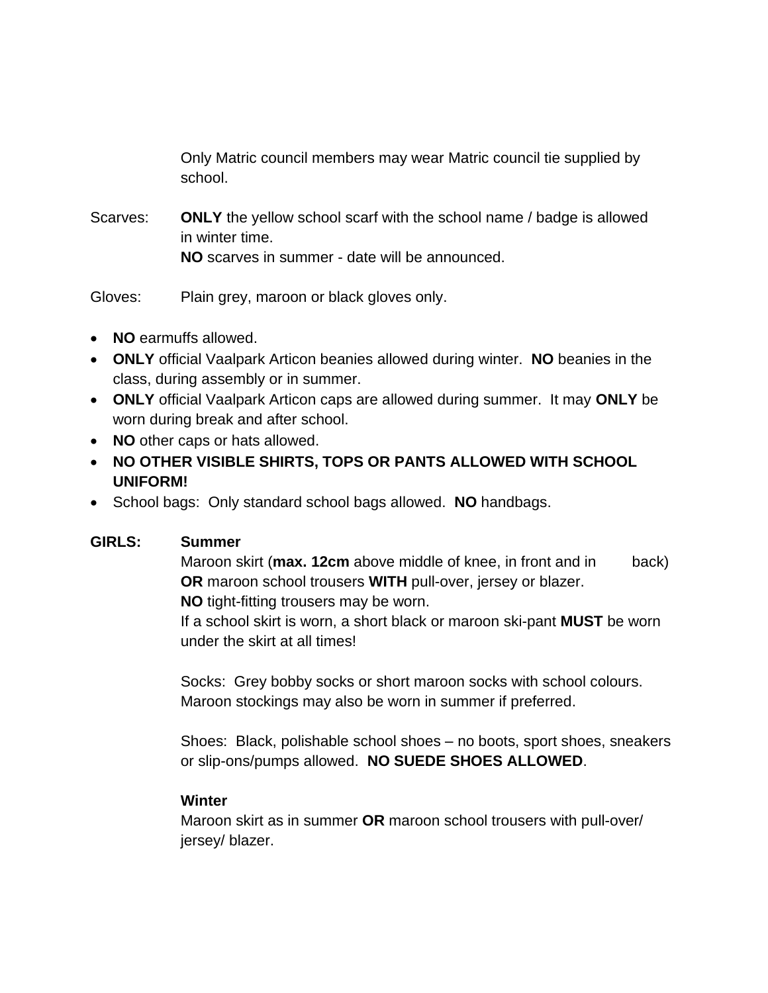Only Matric council members may wear Matric council tie supplied by school.

Scarves: **ONLY** the yellow school scarf with the school name / badge is allowed in winter time. **NO** scarves in summer - date will be announced.

Gloves: Plain grey, maroon or black gloves only.

- **NO** earmuffs allowed.
- **ONLY** official Vaalpark Articon beanies allowed during winter. **NO** beanies in the class, during assembly or in summer.
- **ONLY** official Vaalpark Articon caps are allowed during summer. It may **ONLY** be worn during break and after school.
- **NO** other caps or hats allowed.
- **NO OTHER VISIBLE SHIRTS, TOPS OR PANTS ALLOWED WITH SCHOOL UNIFORM!**
- School bags: Only standard school bags allowed. **NO** handbags.

#### **GIRLS: Summer**

Maroon skirt (**max. 12cm** above middle of knee, in front and in back) **OR** maroon school trousers **WITH** pull-over, jersey or blazer. **NO** tight-fitting trousers may be worn.

If a school skirt is worn, a short black or maroon ski-pant **MUST** be worn under the skirt at all times!

Socks: Grey bobby socks or short maroon socks with school colours. Maroon stockings may also be worn in summer if preferred.

Shoes: Black, polishable school shoes – no boots, sport shoes, sneakers or slip-ons/pumps allowed. **NO SUEDE SHOES ALLOWED**.

#### **Winter**

Maroon skirt as in summer **OR** maroon school trousers with pull-over/ jersey/ blazer.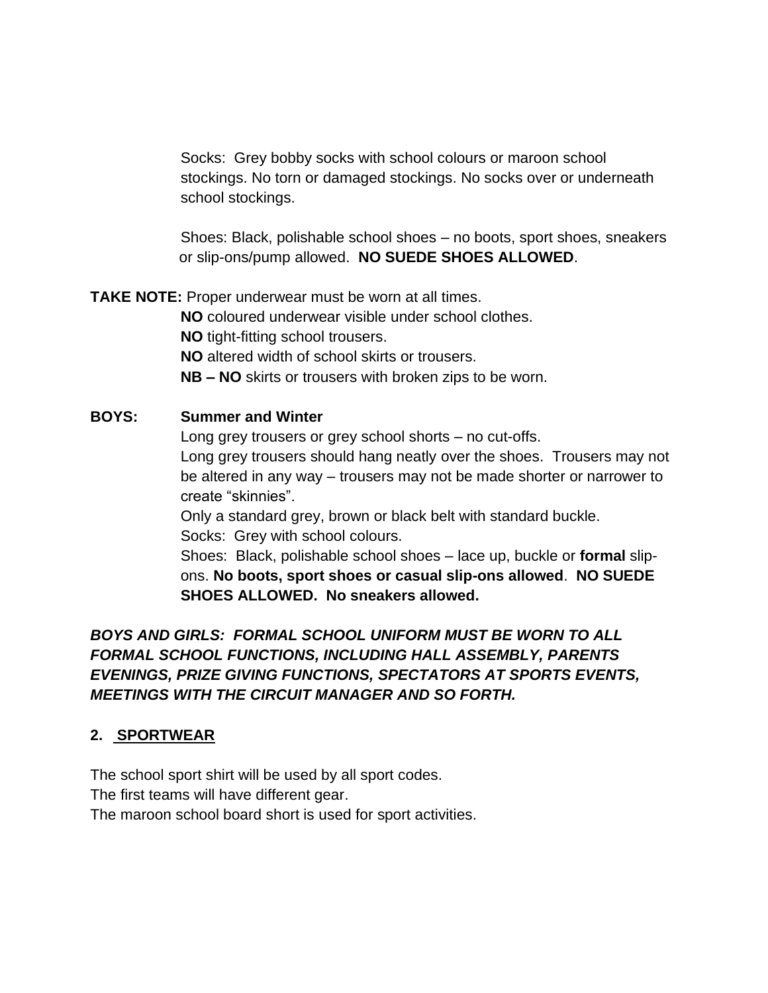Socks: Grey bobby socks with school colours or maroon school stockings. No torn or damaged stockings. No socks over or underneath school stockings.

Shoes: Black, polishable school shoes – no boots, sport shoes, sneakers or slip-ons/pump allowed. **NO SUEDE SHOES ALLOWED**.

**TAKE NOTE:** Proper underwear must be worn at all times.

**NO** coloured underwear visible under school clothes.

**NO** tight-fitting school trousers.

**NO** altered width of school skirts or trousers.

**NB – NO** skirts or trousers with broken zips to be worn.

#### **BOYS: Summer and Winter**

Long grey trousers or grey school shorts – no cut-offs.

Long grey trousers should hang neatly over the shoes. Trousers may not be altered in any way – trousers may not be made shorter or narrower to create "skinnies".

Only a standard grey, brown or black belt with standard buckle. Socks: Grey with school colours.

Shoes: Black, polishable school shoes – lace up, buckle or **formal** slipons. **No boots, sport shoes or casual slip-ons allowed**. **NO SUEDE SHOES ALLOWED. No sneakers allowed.**

*BOYS AND GIRLS: FORMAL SCHOOL UNIFORM MUST BE WORN TO ALL FORMAL SCHOOL FUNCTIONS, INCLUDING HALL ASSEMBLY, PARENTS EVENINGS, PRIZE GIVING FUNCTIONS, SPECTATORS AT SPORTS EVENTS, MEETINGS WITH THE CIRCUIT MANAGER AND SO FORTH.*

# **2. SPORTWEAR**

The school sport shirt will be used by all sport codes.

The first teams will have different gear.

The maroon school board short is used for sport activities.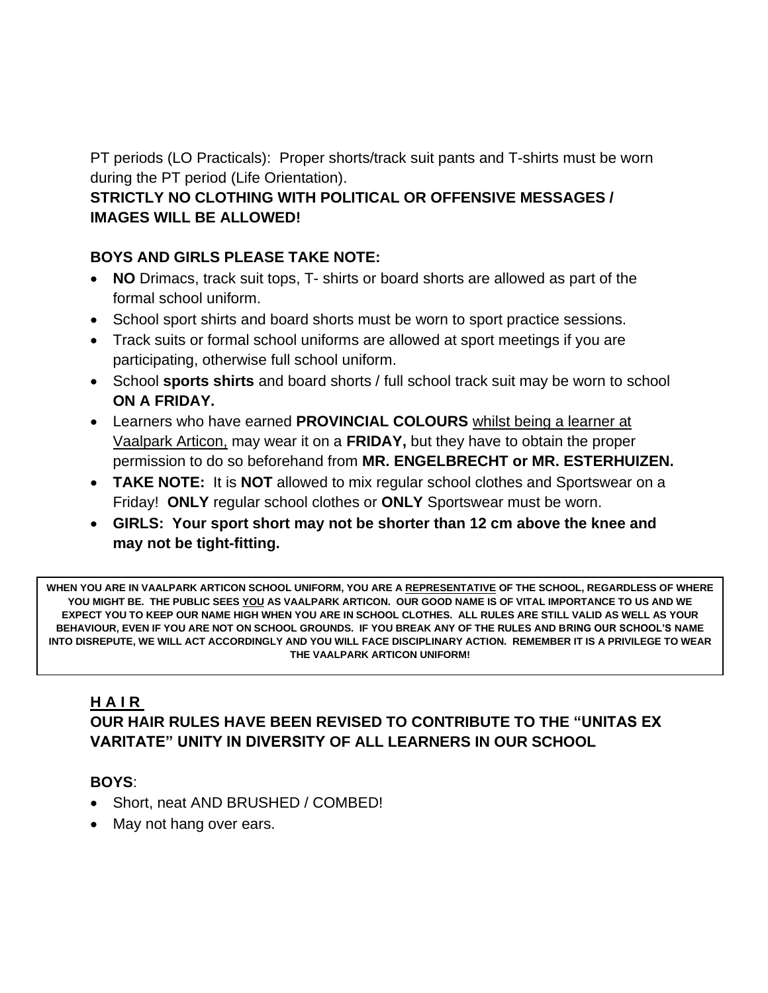PT periods (LO Practicals): Proper shorts/track suit pants and T-shirts must be worn during the PT period (Life Orientation).

# **STRICTLY NO CLOTHING WITH POLITICAL OR OFFENSIVE MESSAGES / IMAGES WILL BE ALLOWED!**

# **BOYS AND GIRLS PLEASE TAKE NOTE:**

- **NO** Drimacs, track suit tops, T- shirts or board shorts are allowed as part of the formal school uniform.
- School sport shirts and board shorts must be worn to sport practice sessions.
- Track suits or formal school uniforms are allowed at sport meetings if you are participating, otherwise full school uniform.
- School **sports shirts** and board shorts / full school track suit may be worn to school **ON A FRIDAY.**
- Learners who have earned **PROVINCIAL COLOURS** whilst being a learner at Vaalpark Articon, may wear it on a **FRIDAY,** but they have to obtain the proper permission to do so beforehand from **MR. ENGELBRECHT or MR. ESTERHUIZEN.**
- **TAKE NOTE:** It is **NOT** allowed to mix regular school clothes and Sportswear on a Friday! **ONLY** regular school clothes or **ONLY** Sportswear must be worn.
- **GIRLS: Your sport short may not be shorter than 12 cm above the knee and may not be tight-fitting.**

**WHEN YOU ARE IN VAALPARK ARTICON SCHOOL UNIFORM, YOU ARE A REPRESENTATIVE OF THE SCHOOL, REGARDLESS OF WHERE YOU MIGHT BE. THE PUBLIC SEES YOU AS VAALPARK ARTICON. OUR GOOD NAME IS OF VITAL IMPORTANCE TO US AND WE EXPECT YOU TO KEEP OUR NAME HIGH WHEN YOU ARE IN SCHOOL CLOTHES. ALL RULES ARE STILL VALID AS WELL AS YOUR BEHAVIOUR, EVEN IF YOU ARE NOT ON SCHOOL GROUNDS. IF YOU BREAK ANY OF THE RULES AND BRING OUR SCHOOL'S NAME INTO DISREPUTE, WE WILL ACT ACCORDINGLY AND YOU WILL FACE DISCIPLINARY ACTION. REMEMBER IT IS A PRIVILEGE TO WEAR THE VAALPARK ARTICON UNIFORM!**

# **H A I R**

# **OUR HAIR RULES HAVE BEEN REVISED TO CONTRIBUTE TO THE "UNITAS EX VARITATE" UNITY IN DIVERSITY OF ALL LEARNERS IN OUR SCHOOL**

#### **BOYS**:

- Short, neat AND BRUSHED / COMBED!
- May not hang over ears.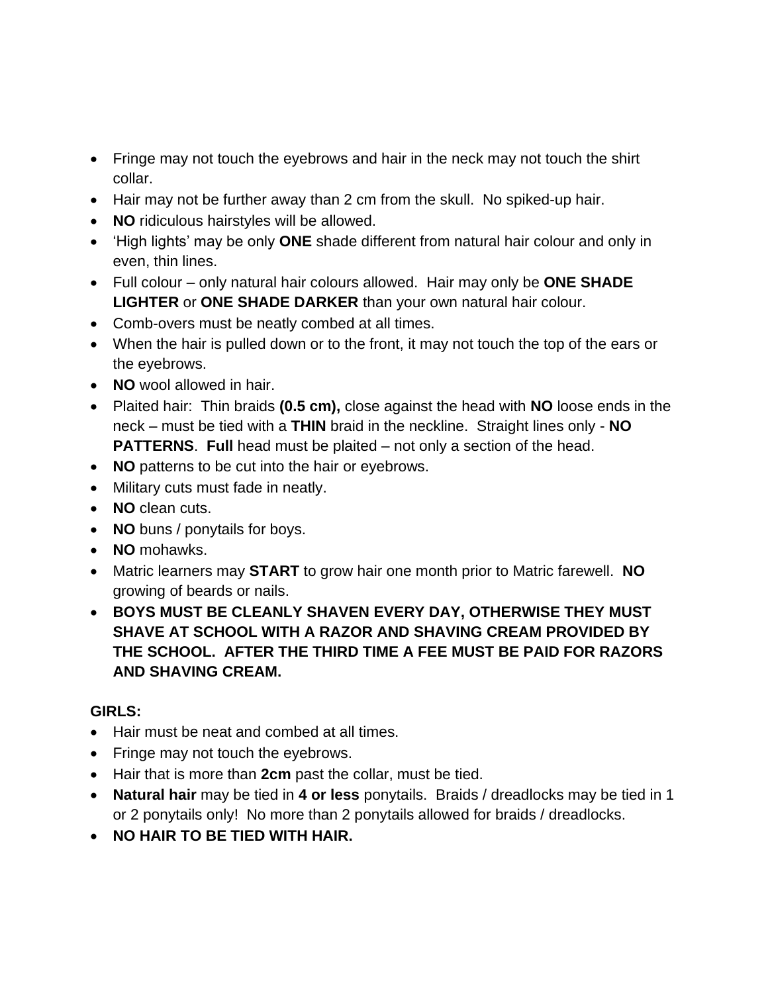- Fringe may not touch the eyebrows and hair in the neck may not touch the shirt collar.
- Hair may not be further away than 2 cm from the skull. No spiked-up hair.
- **NO** ridiculous hairstyles will be allowed.
- 'High lights' may be only **ONE** shade different from natural hair colour and only in even, thin lines.
- Full colour only natural hair colours allowed. Hair may only be **ONE SHADE LIGHTER** or **ONE SHADE DARKER** than your own natural hair colour.
- Comb-overs must be neatly combed at all times.
- When the hair is pulled down or to the front, it may not touch the top of the ears or the eyebrows.
- **NO** wool allowed in hair.
- Plaited hair: Thin braids **(0.5 cm),** close against the head with **NO** loose ends in the neck – must be tied with a **THIN** braid in the neckline. Straight lines only - **NO PATTERNS.** Full head must be plaited – not only a section of the head.
- **NO** patterns to be cut into the hair or eyebrows.
- Military cuts must fade in neatly.
- **NO** clean cuts.
- **NO** buns / ponytails for boys.
- **NO** mohawks.
- Matric learners may **START** to grow hair one month prior to Matric farewell. **NO** growing of beards or nails.
- **BOYS MUST BE CLEANLY SHAVEN EVERY DAY, OTHERWISE THEY MUST SHAVE AT SCHOOL WITH A RAZOR AND SHAVING CREAM PROVIDED BY THE SCHOOL. AFTER THE THIRD TIME A FEE MUST BE PAID FOR RAZORS AND SHAVING CREAM.**

# **GIRLS:**

- Hair must be neat and combed at all times.
- Fringe may not touch the eyebrows.
- Hair that is more than **2cm** past the collar, must be tied.
- **Natural hair** may be tied in **4 or less** ponytails. Braids / dreadlocks may be tied in 1 or 2 ponytails only! No more than 2 ponytails allowed for braids / dreadlocks.
- **NO HAIR TO BE TIED WITH HAIR.**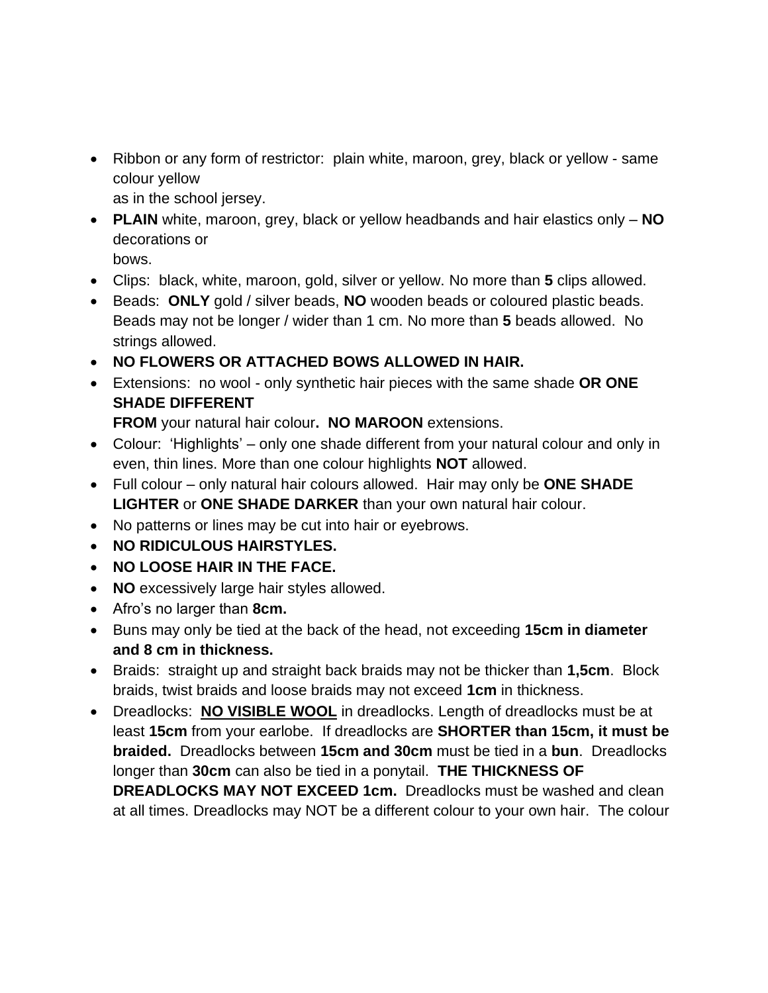• Ribbon or any form of restrictor: plain white, maroon, grey, black or yellow - same colour yellow

as in the school jersey.

• **PLAIN** white, maroon, grey, black or yellow headbands and hair elastics only – **NO** decorations or

bows.

- Clips: black, white, maroon, gold, silver or yellow. No more than **5** clips allowed.
- Beads: **ONLY** gold / silver beads, **NO** wooden beads or coloured plastic beads. Beads may not be longer / wider than 1 cm. No more than **5** beads allowed. No strings allowed.
- **NO FLOWERS OR ATTACHED BOWS ALLOWED IN HAIR.**
- Extensions: no wool only synthetic hair pieces with the same shade **OR ONE SHADE DIFFERENT**

**FROM** your natural hair colour**. NO MAROON** extensions.

- Colour: 'Highlights' only one shade different from your natural colour and only in even, thin lines. More than one colour highlights **NOT** allowed.
- Full colour only natural hair colours allowed. Hair may only be **ONE SHADE LIGHTER** or **ONE SHADE DARKER** than your own natural hair colour.
- No patterns or lines may be cut into hair or eyebrows.
- **NO RIDICULOUS HAIRSTYLES.**
- **NO LOOSE HAIR IN THE FACE.**
- **NO** excessively large hair styles allowed.
- Afro's no larger than **8cm.**
- Buns may only be tied at the back of the head, not exceeding **15cm in diameter and 8 cm in thickness.**
- Braids: straight up and straight back braids may not be thicker than **1,5cm**. Block braids, twist braids and loose braids may not exceed **1cm** in thickness.
- Dreadlocks: **NO VISIBLE WOOL** in dreadlocks. Length of dreadlocks must be at least **15cm** from your earlobe. If dreadlocks are **SHORTER than 15cm, it must be braided.** Dreadlocks between **15cm and 30cm** must be tied in a **bun**. Dreadlocks longer than **30cm** can also be tied in a ponytail. **THE THICKNESS OF DREADLOCKS MAY NOT EXCEED 1cm.** Dreadlocks must be washed and clean at all times. Dreadlocks may NOT be a different colour to your own hair. The colour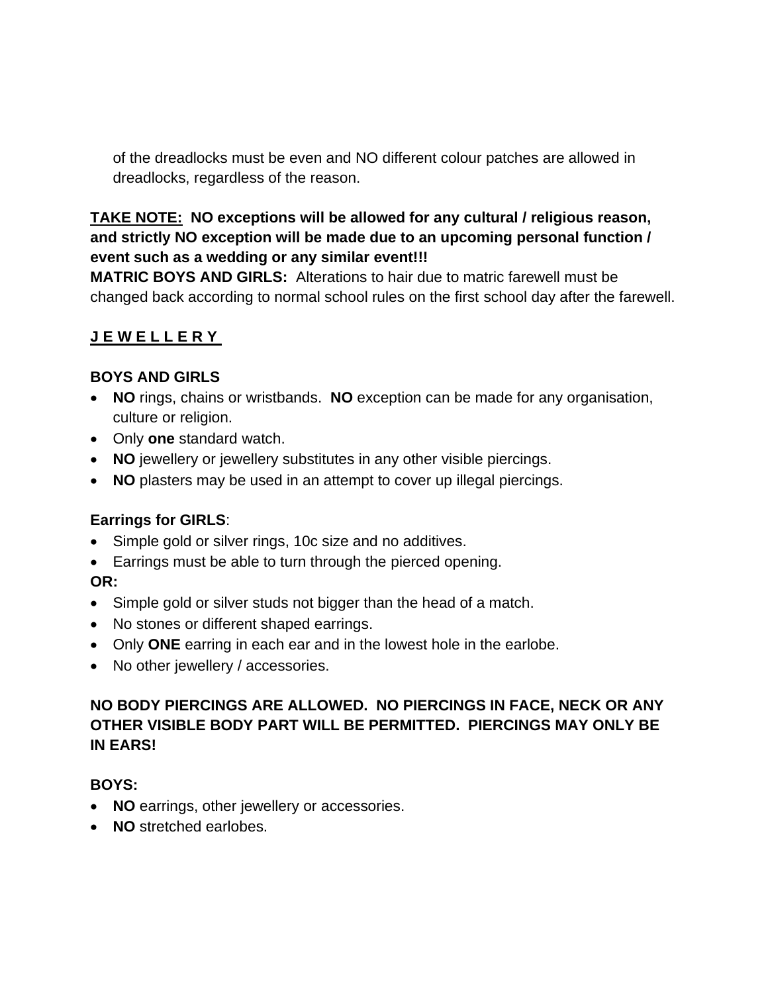of the dreadlocks must be even and NO different colour patches are allowed in dreadlocks, regardless of the reason.

### **TAKE NOTE: NO exceptions will be allowed for any cultural / religious reason, and strictly NO exception will be made due to an upcoming personal function / event such as a wedding or any similar event!!!**

**MATRIC BOYS AND GIRLS:** Alterations to hair due to matric farewell must be changed back according to normal school rules on the first school day after the farewell.

# **J E W E L L E R Y**

#### **BOYS AND GIRLS**

- **NO** rings, chains or wristbands. **NO** exception can be made for any organisation, culture or religion.
- Only **one** standard watch.
- **NO** jewellery or jewellery substitutes in any other visible piercings.
- **NO** plasters may be used in an attempt to cover up illegal piercings.

# **Earrings for GIRLS**:

- Simple gold or silver rings, 10c size and no additives.
- Earrings must be able to turn through the pierced opening.

# **OR:**

- Simple gold or silver studs not bigger than the head of a match.
- No stones or different shaped earrings.
- Only **ONE** earring in each ear and in the lowest hole in the earlobe.
- No other jewellery / accessories.

### **NO BODY PIERCINGS ARE ALLOWED. NO PIERCINGS IN FACE, NECK OR ANY OTHER VISIBLE BODY PART WILL BE PERMITTED. PIERCINGS MAY ONLY BE IN EARS!**

#### **BOYS:**

- **NO** earrings, other jewellery or accessories.
- **NO** stretched earlobes.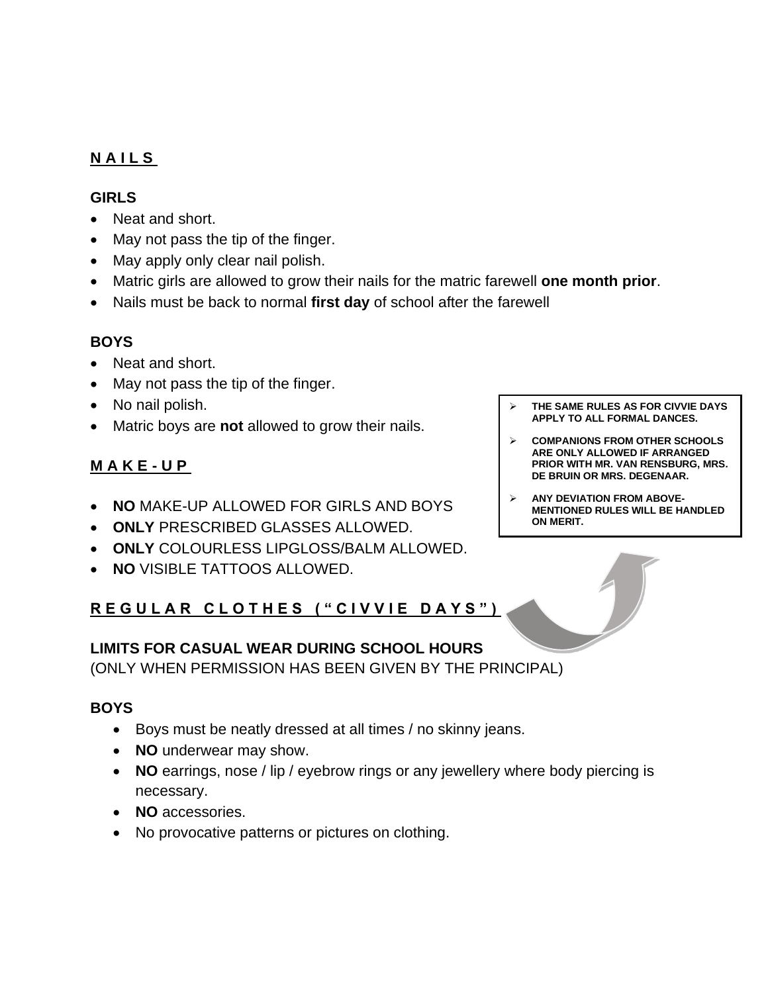### **N A I L S**

#### **GIRLS**

- Neat and short.
- May not pass the tip of the finger.
- May apply only clear nail polish.
- Matric girls are allowed to grow their nails for the matric farewell **one month prior**.
- Nails must be back to normal **first day** of school after the farewell

#### **BOYS**

- Neat and short.
- May not pass the tip of the finger.
- No nail polish.
- Matric boys are **not** allowed to grow their nails.

# **M A K E - U P**

- **NO** MAKE-UP ALLOWED FOR GIRLS AND BOYS
- **ONLY** PRESCRIBED GLASSES ALLOWED.
- **ONLY** COLOURLESS LIPGLOSS/BALM ALLOWED.
- **NO** VISIBLE TATTOOS ALLOWED.

# **R E G U L A R C L O T H E S ( " C I V V I E D A Y S " )**

# **LIMITS FOR CASUAL WEAR DURING SCHOOL HOURS**

(ONLY WHEN PERMISSION HAS BEEN GIVEN BY THE PRINCIPAL)

#### **BOYS**

- Boys must be neatly dressed at all times / no skinny jeans.
- **NO** underwear may show.
- **NO** earrings, nose / lip / eyebrow rings or any jewellery where body piercing is necessary.
- **NO** accessories.
- No provocative patterns or pictures on clothing.
- ➢ **THE SAME RULES AS FOR CIVVIE DAYS APPLY TO ALL FORMAL DANCES.**
- ➢ **COMPANIONS FROM OTHER SCHOOLS ARE ONLY ALLOWED IF ARRANGED PRIOR WITH MR. VAN RENSBURG, MRS. DE BRUIN OR MRS. DEGENAAR.**
- ➢ **ANY DEVIATION FROM ABOVE-MENTIONED RULES WILL BE HANDLED ON MERIT.**